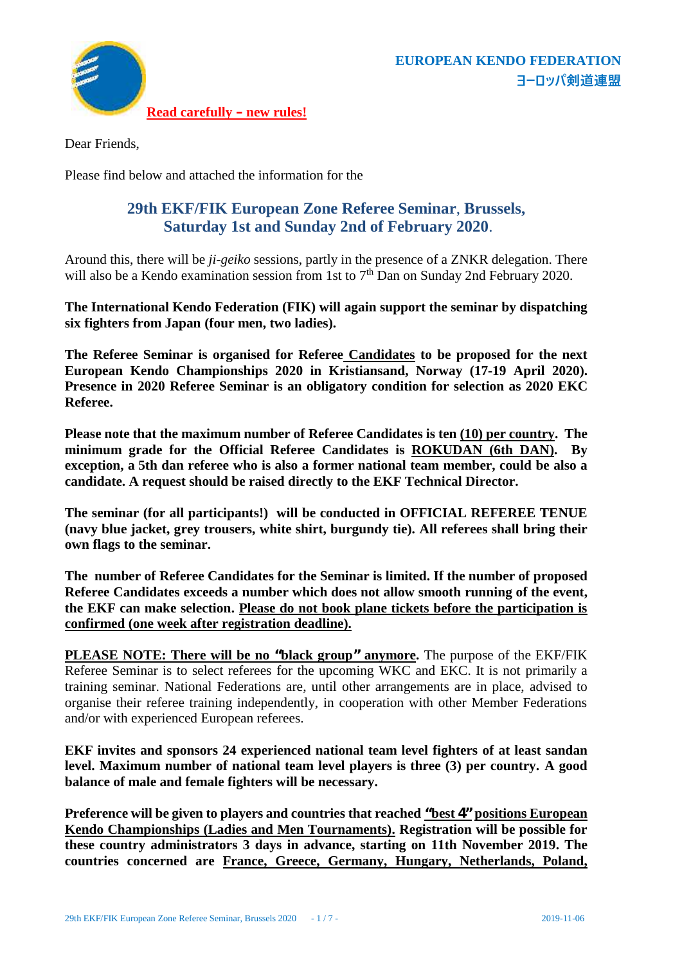

Dear Friends,

Please find below and attached the information for the

### **29th EKF/FIK European Zone Referee Seminar**, **Brussels, Saturday 1st and Sunday 2nd of February 2020**.

Around this, there will be *ji-geiko* sessions, partly in the presence of a ZNKR delegation. There will also be a Kendo examination session from 1st to  $7<sup>th</sup>$  Dan on Sunday 2nd February 2020.

**The International Kendo Federation (FIK) will again support the seminar by dispatching six fighters from Japan (four men, two ladies).**

**The Referee Seminar is organised for Referee Candidates to be proposed for the next European Kendo Championships 2020 in Kristiansand, Norway (17-19 April 2020). Presence in 2020 Referee Seminar is an obligatory condition for selection as 2020 EKC Referee.**

**Please note that the maximum number of Referee Candidates is ten (10) per country. The minimum grade for the Official Referee Candidates is ROKUDAN (6th DAN). By exception, a 5th dan referee who is also a former national team member, could be also a candidate. A request should be raised directly to the EKF Technical Director.**

**The seminar (for all participants!) will be conducted in OFFICIAL REFEREE TENUE (navy blue jacket, grey trousers, white shirt, burgundy tie). All referees shall bring their own flags to the seminar.**

**The number of Referee Candidates for the Seminar is limited. If the number of proposed Referee Candidates exceeds a number which does not allow smooth running of the event, the EKF can make selection. Please do not book plane tickets before the participation is confirmed (one week after registration deadline).**

**PLEASE NOTE: There will be no "black group" anymore.** The purpose of the EKF/FIK Referee Seminar is to select referees for the upcoming WKC and EKC. It is not primarily a training seminar. National Federations are, until other arrangements are in place, advised to organise their referee training independently, in cooperation with other Member Federations and/or with experienced European referees.

**EKF invites and sponsors 24 experienced national team level fighters of at least sandan level. Maximum number of national team level players is three (3) per country. A good balance of male and female fighters will be necessary.**

**Preference will be given to players and countries that reached "best 4" positions European Kendo Championships (Ladies and Men Tournaments). Registration will be possible for these country administrators 3 days in advance, starting on 11th November 2019. The countries concerned are France, Greece, Germany, Hungary, Netherlands, Poland,**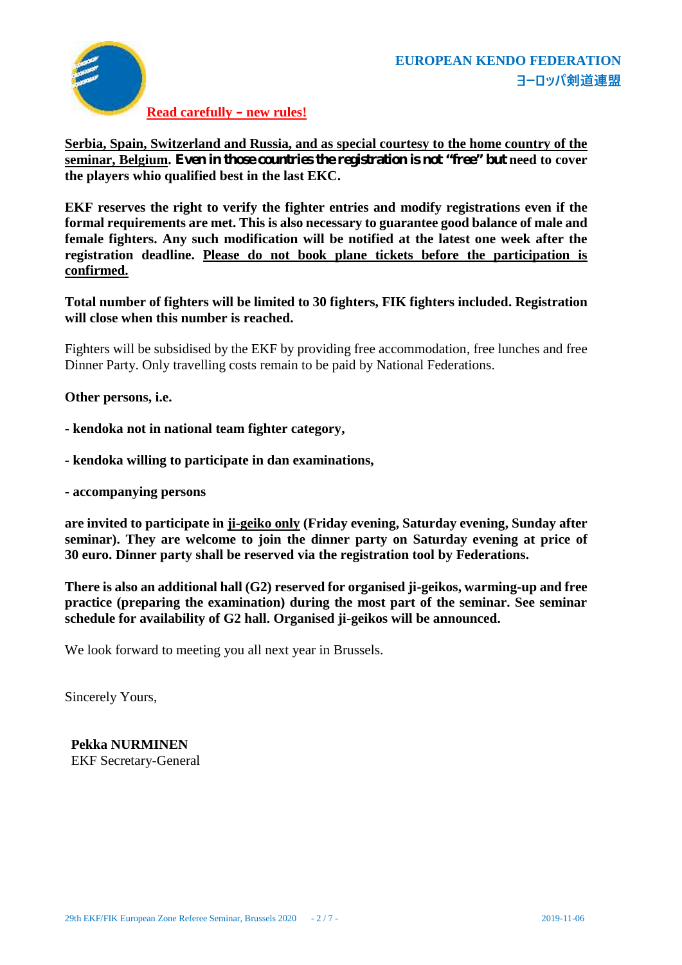

**Read carefully – new rules!**

**Serbia, Spain, Switzerland and Russia, and as special courtesy to the home country of the seminar, Belgium. Even in those countries the registration is not "free" but need to cover the players whio qualified best in the last EKC.**

**EKF reserves the right to verify the fighter entries and modify registrations even if the formal requirements are met. This is also necessary to guarantee good balance of male and female fighters. Any such modification will be notified at the latest one week after the registration deadline. Please do not book plane tickets before the participation is confirmed.**

**Total number of fighters will be limited to 30 fighters, FIK fighters included. Registration will close when this number is reached.**

Fighters will be subsidised by the EKF by providing free accommodation, free lunches and free Dinner Party. Only travelling costs remain to be paid by National Federations.

**Other persons, i.e.**

**- kendoka not in national team fighter category,**

- **- kendoka willing to participate in dan examinations,**
- **- accompanying persons**

**are invited to participate in ji-geiko only (Friday evening, Saturday evening, Sunday after seminar). They are welcome to join the dinner party on Saturday evening at price of 30 euro. Dinner party shall be reserved via the registration tool by Federations.**

**There is also an additional hall (G2) reserved for organised ji-geikos, warming-up and free practice (preparing the examination) during the most part of the seminar. See seminar schedule for availability of G2 hall. Organised ji-geikos will be announced.**

We look forward to meeting you all next year in Brussels.

Sincerely Yours,

**Pekka NURMINEN** EKF Secretary-General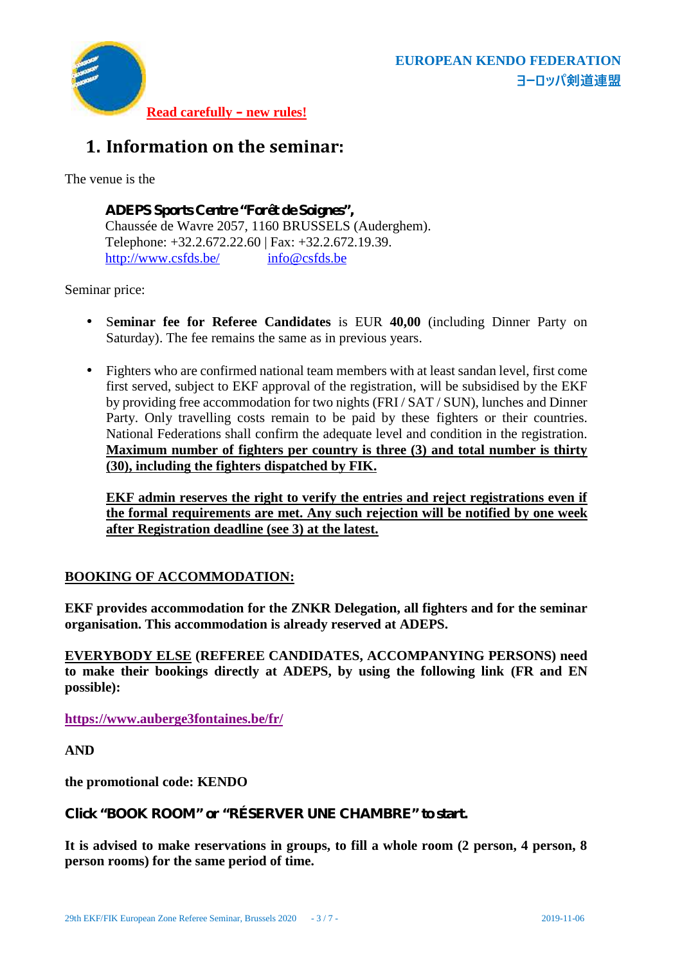

# **1. Information on the seminar:**

The venue is the

**ADEPS Sports Centre "Forêt de Soignes",** Chaussée de Wavre 2057, 1160 BRUSSELS (Auderghem). Telephone: +32.2.672.22.60 | Fax: +32.2.672.19.39. http://www.csfds.be/ info@csfds.be

Seminar price:

- S**eminar fee for Referee Candidates** is EUR **40,00** (including Dinner Party on Saturday). The fee remains the same as in previous years.
- Fighters who are confirmed national team members with at least sandan level, first come first served, subject to EKF approval of the registration, will be subsidised by the EKF by providing free accommodation for two nights (FRI / SAT / SUN), lunches and Dinner Party. Only travelling costs remain to be paid by these fighters or their countries. National Federations shall confirm the adequate level and condition in the registration. **Maximum number of fighters per country is three (3) and total number is thirty (30), including the fighters dispatched by FIK.**

**EKF admin reserves the right to verify the entries and reject registrations even if the formal requirements are met. Any such rejection will be notified by one week after Registration deadline (see 3) at the latest.**

#### **BOOKING OF ACCOMMODATION:**

**EKF provides accommodation for the ZNKR Delegation, all fighters and for the seminar organisation. This accommodation is already reserved at ADEPS.**

**EVERYBODY ELSE (REFEREE CANDIDATES, ACCOMPANYING PERSONS) need to make their bookings directly at ADEPS, by using the following link (FR and EN possible):**

**https://www.auberge3fontaines.be/fr/**

**AND**

**the promotional code: KENDO**

**Click "BOOK ROOM" or "RÉSERVER UNE CHAMBRE" to start.**

**It is advised to make reservations in groups, to fill a whole room (2 person, 4 person, 8 person rooms) for the same period of time.**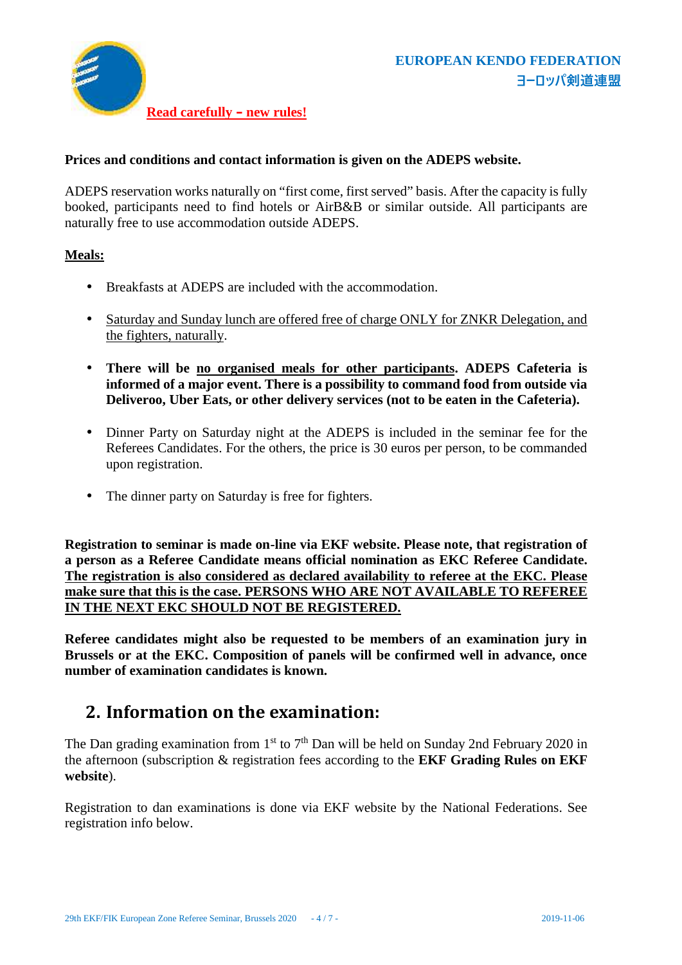

#### **Prices and conditions and contact information is given on the ADEPS website.**

ADEPS reservation works naturally on "first come, first served" basis. After the capacity is fully booked, participants need to find hotels or AirB&B or similar outside. All participants are naturally free to use accommodation outside ADEPS.

#### **Meals:**

- Breakfasts at ADEPS are included with the accommodation.
- Saturday and Sunday lunch are offered free of charge ONLY for ZNKR Delegation, and the fighters, naturally.
- **There will be no organised meals for other participants. ADEPS Cafeteria is informed of a major event. There is a possibility to command food from outside via Deliveroo, Uber Eats, or other delivery services (not to be eaten in the Cafeteria).**
- Dinner Party on Saturday night at the ADEPS is included in the seminar fee for the Referees Candidates. For the others, the price is 30 euros per person, to be commanded upon registration.
- The dinner party on Saturday is free for fighters.

**Registration to seminar is made on-line via EKF website. Please note, that registration of a person asa Referee Candidate means official nomination as EKC Referee Candidate. The registration is also considered as declared availability to referee at the EKC. Please make sure that this is the case. PERSONS WHO ARE NOT AVAILABLE TO REFEREE IN THE NEXT EKC SHOULD NOT BE REGISTERED.**

**Referee candidates might also be requested to be members of an examination jury in Brussels or at the EKC. Composition of panels will be confirmed well in advance, once number of examination candidates is known.**

## **2. Information on the examination:**

The Dan grading examination from  $1<sup>st</sup>$  to  $7<sup>th</sup>$  Dan will be held on Sunday 2nd February 2020 in the afternoon (subscription & registration fees according to the **EKF Grading Rules on EKF website**).

Registration to dan examinations is done via EKF website by the National Federations. See registration info below.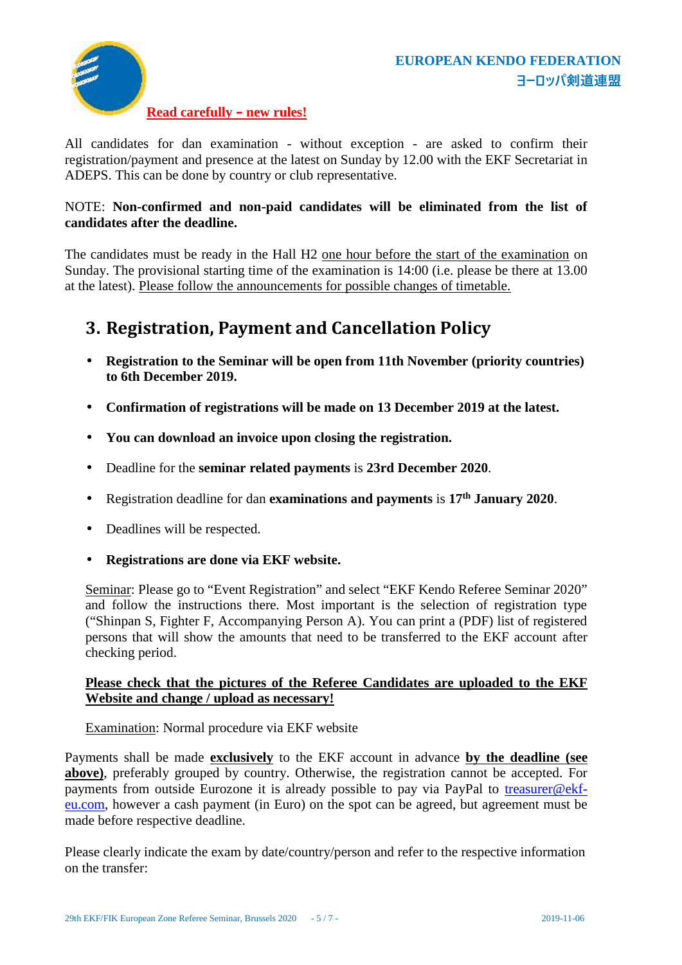



#### **Read carefully – new rules!**

All candidates for dan examination - without exception - are asked to confirm their registration/payment and presence at the latest on Sunday by 12.00 with the EKF Secretariat in ADEPS. This can be done by country or club representative.

#### NOTE: **Non-confirmed and non-paid candidates will be eliminated from the list of candidates after the deadline.**

The candidates must be ready in the Hall H2 one hour before the start of the examination on Sunday. The provisional starting time of the examination is 14:00 (i.e. please be there at 13.00 at the latest). Please follow the announcements for possible changes of timetable.

## **3. Registration, Payment and Cancellation Policy**

 **Registration to the Seminar will be open from 11th November (priority countries) to 6th December 2019.**

**Confirmation of registrations will be made on 13 December 2019 at the latest.**

**You can download an invoice upon closing the registration.**

Deadline for the **seminar related payments** is **23rd December 2020**.

Registration deadline for dan **examinations and payments** is **17 th January 2020**.

Deadlines will be respected.

**Registrations are done via EKF website.**

Seminar: Please go to "Event Registration" and select "EKF Kendo Referee Seminar 2020" and follow the instructions there. Most important is the selection of registration type ("Shinpan S, Fighter F, Accompanying Person A). You can print a (PDF) list of registered persons that will show the amounts that need to be transferred to the EKF account after checking period.

#### **Please check that the pictures of the Referee Candidates are uploaded to the EKF Website and change / upload as necessary!**

Examination: Normal procedure via EKF website

Payments shall be made **exclusively** to the EKF account in advance **by the deadline (see above)**, preferably grouped by country. Otherwise, the registration cannot be accepted. For payments from outside Eurozone it is already possible to pay via PayPal to treasurer@ekf eu.com, however a cash payment (in Euro) on the spot can be agreed, but agreement must be made before respective deadline.

Please clearly indicate the exam by date/country/person and refer to the respective information on the transfer: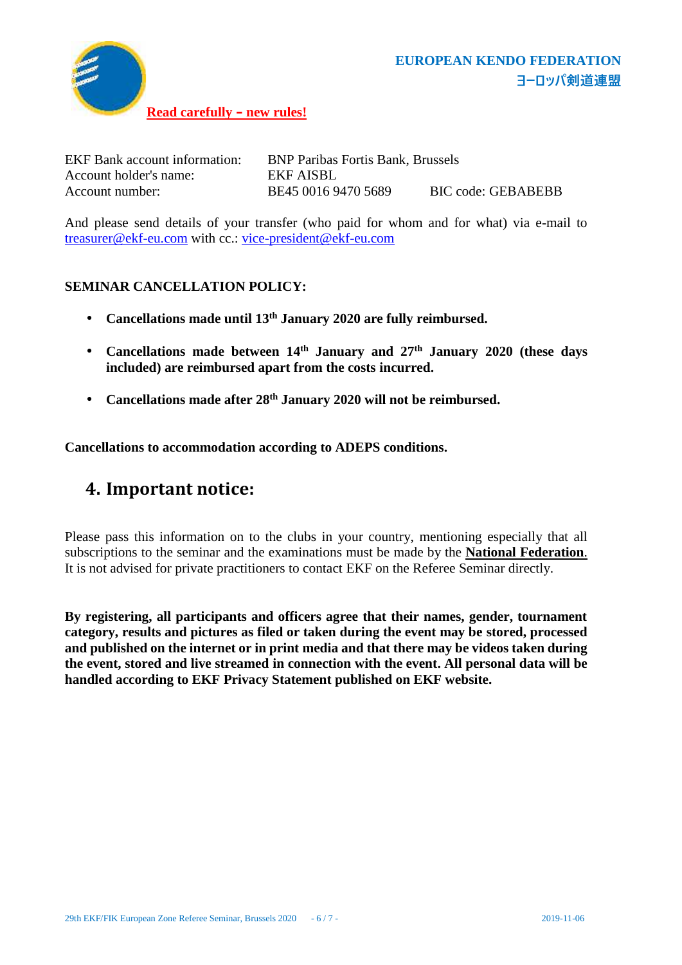

| <b>EKF</b> Bank account information: | <b>BNP Paribas Fortis Bank, Brussels</b> |                    |
|--------------------------------------|------------------------------------------|--------------------|
| Account holder's name:               | EKF AISBL                                |                    |
| Account number:                      | BE45 0016 9470 5689                      | BIC code: GEBABEBB |

And please send details of your transfer (who paid for whom and for what) via e-mail to treasurer@ekf-eu.com with cc.: vice-president@ekf-eu.com

#### **SEMINAR CANCELLATION POLICY:**

- **Cancellations made until 13 th January 2020 are fully reimbursed.**
- **Cancellations made between 14 th January and 27 th January 2020 (these days included) are reimbursed apart from the costs incurred.**
- **Cancellations made after 28 th January 2020 will not be reimbursed.**

**Cancellations to accommodation according to ADEPS conditions.**

## **4. Important notice:**

Please pass this information on to the clubs in your country, mentioning especially that all subscriptions to the seminar and the examinations must be made by the **National Federation**. It is not advised for private practitioners to contact EKF on the Referee Seminar directly.

**By registering, all participants and officers agree that their names, gender, tournament category, results and pictures as filed or taken during the event may be stored, processed and published on the internet or in print media and that there may be videos taken during the event, stored and live streamed in connection with the event. All personal data will be handled according to EKF Privacy Statement published on EKF website.**